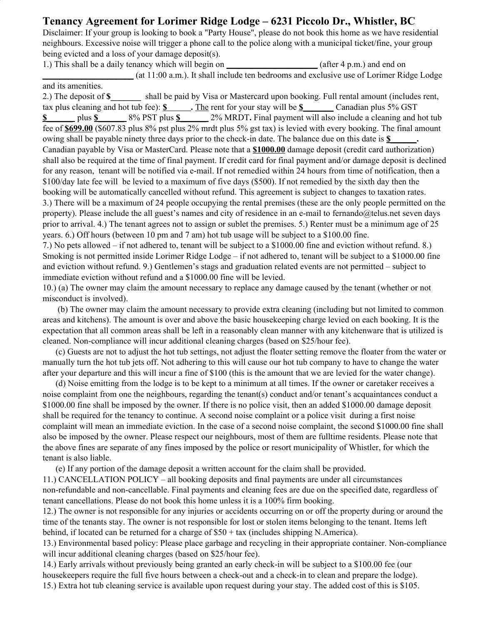## **Tenancy Agreement for Lorimer Ridge Lodge – 6231 Piccolo Dr., Whistler, BC**

Disclaimer: If your group is looking to book a "Party House", please do not book this home as we have residential neighbours. Excessive noise will trigger a phone call to the police along with a municipal ticket/fine, your group being evicted and a loss of your damage deposit(s).

1.) This shall be a daily tenancy which will begin on **\_\_\_\_\_\_\_\_\_\_\_\_\_\_\_\_\_\_\_\_\_** (after 4 p.m.) and end on **\_\_\_\_\_\_\_\_\_\_\_\_\_\_\_\_\_\_\_\_\_** (at 11:00 a.m.). It shall include ten bedrooms and exclusive use of Lorimer Ridge Lodge and its amenities.

2.) The deposit of **\$** shall be paid by Visa or Mastercard upon booking. Full rental amount (includes rent, tax plus cleaning and hot tub fee): **\$ .** The rent for your stay will be **\$\_\_\_\_\_\_\_** Canadian plus 5% GST **\$\_\_\_\_\_\_** plus **\$\_\_\_\_\_\_** 8% PST plus **\$\_\_\_\_\_\_** 2% MRDT**.** Final payment will also include a cleaning and hot tub fee of **\$699.00** (\$607.83 plus 8% pst plus 2% mrdt plus 5% gst tax) is levied with every booking. The final amount owing shall be payable ninety three days prior to the check-in date. The balance due on this date is **\$** Canadian payable by Visa or MasterCard. Please note that a **\$1000.00** damage deposit (credit card authorization) shall also be required at the time of final payment. If credit card for final payment and/or damage deposit is declined for any reason, tenant will be notified via e-mail. If not remedied within 24 hours from time of notification, then a \$100/day late fee will be levied to a maximum of five days (\$500). If not remedied by the sixth day then the booking will be automatically cancelled without refund. This agreement is subject to changes to taxation rates. 3.) There will be a maximum of 24 people occupying the rental premises (these are the only people permitted on the property). Please include the all guest's names and city of residence in an e-mail to fernando@telus.net seven days prior to arrival. 4.) The tenant agrees not to assign or sublet the premises. 5.) Renter must be a minimum age of 25 years. 6.) Off hours (between 10 pm and 7 am) hot tub usage will be subject to a \$100.00 fine.

7.) No pets allowed – if not adhered to, tenant will be subject to a \$1000.00 fine and eviction without refund. 8.) Smoking is not permitted inside Lorimer Ridge Lodge – if not adhered to, tenant will be subject to a \$1000.00 fine and eviction without refund. 9.) Gentlemen's stags and graduation related events are not permitted – subject to immediate eviction without refund and a \$1000.00 fine will be levied.

10.) (a) The owner may claim the amount necessary to replace any damage caused by the tenant (whether or not misconduct is involved).

(b) The owner may claim the amount necessary to provide extra cleaning (including but not limited to common areas and kitchens). The amount is over and above the basic housekeeping charge levied on each booking. It is the expectation that all common areas shall be left in a reasonably clean manner with any kitchenware that is utilized is cleaned. Non-compliance will incur additional cleaning charges (based on \$25/hour fee).

(c) Guests are not to adjust the hot tub settings, not adjust the floater setting remove the floater from the water or manually turn the hot tub jets off. Not adhering to this will cause our hot tub company to have to change the water after your departure and this will incur a fine of \$100 (this is the amount that we are levied for the water change).

(d) Noise emitting from the lodge is to be kept to a minimum at all times. If the owner or caretaker receives a noise complaint from one the neighbours, regarding the tenant(s) conduct and/or tenant's acquaintances conduct a \$1000.00 fine shall be imposed by the owner. If there is no police visit, then an added \$1000.00 damage deposit shall be required for the tenancy to continue. A second noise complaint or a police visit during a first noise complaint will mean an immediate eviction. In the case of a second noise complaint, the second \$1000.00 fine shall also be imposed by the owner. Please respect our neighbours, most of them are fulltime residents. Please note that the above fines are separate of any fines imposed by the police or resort municipality of Whistler, for which the tenant is also liable.

(e) If any portion of the damage deposit a written account for the claim shall be provided.

11.) CANCELLATION POLICY – all booking deposits and final payments are under all circumstances non-refundable and non-cancellable. Final payments and cleaning fees are due on the specified date, regardless of tenant cancellations. Please do not book this home unless it is a 100% firm booking.

12.) The owner is not responsible for any injuries or accidents occurring on or off the property during or around the time of the tenants stay. The owner is not responsible for lost or stolen items belonging to the tenant. Items left behind, if located can be returned for a charge of \$50 + tax (includes shipping N.America).

13.) Environmental based policy: Please place garbage and recycling in their appropriate container. Non-compliance will incur additional cleaning charges (based on \$25/hour fee).

14.) Early arrivals without previously being granted an early check-in will be subject to a \$100.00 fee (our housekeepers require the full five hours between a check-out and a check-in to clean and prepare the lodge). 15.) Extra hot tub cleaning service is available upon request during your stay. The added cost of this is \$105.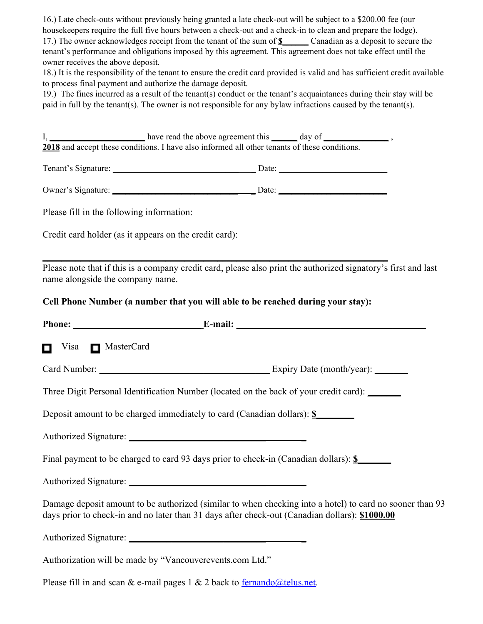16.) Late check-outs without previously being granted a late check-out will be subject to a \$200.00 fee (our housekeepers require the full five hours between a check-out and a check-in to clean and prepare the lodge). 17.) The owner acknowledges receipt from the tenant of the sum of **\$\_\_\_\_\_\_** Canadian as a deposit to secure the tenant's performance and obligations imposed by this agreement. This agreement does not take effect until the owner receives the above deposit.

18.) It is the responsibility of the tenant to ensure the credit card provided is valid and has sufficient credit available to process final payment and authorize the damage deposit.

19.) The fines incurred as a result of the tenant(s) conduct or the tenant's acquaintances during their stay will be paid in full by the tenant(s). The owner is not responsible for any bylaw infractions caused by the tenant(s).

I, **\_\_\_\_\_\_\_\_\_\_\_\_\_\_\_\_\_\_\_\_\_\_** have read the above agreement this **\_\_\_\_\_\_** day of **\_\_\_\_\_\_\_\_\_\_\_\_\_\_\_** , **2018** and accept these conditions. I have also informed all other tenants of these conditions.

Tenant's Signature: **\_\_\_\_\_\_\_\_\_\_\_\_\_\_\_\_\_\_\_\_\_\_\_\_\_\_\_\_\_ \_** Date: **\_\_\_\_\_\_\_\_\_\_\_\_\_\_\_\_\_\_\_\_\_\_\_\_\_**

Owner's Signature: **\_\_\_\_\_\_\_\_\_\_\_\_\_\_\_\_\_\_\_\_\_\_\_\_\_\_\_\_\_ \_** Date: **\_\_\_\_\_\_\_\_\_\_\_\_\_\_\_\_\_\_\_\_\_\_\_\_\_**

Please fill in the following information:

Credit card holder (as it appears on the credit card):

Please note that if this is a company credit card, please also print the authorized signatory's first and last name alongside the company name.

**Cell Phone Number (a number that you will able to be reached during your stay):**

**\_\_\_\_\_\_\_\_\_\_\_\_\_\_\_\_\_\_\_\_\_\_\_\_\_\_\_\_\_\_\_\_\_\_\_\_\_\_\_\_\_\_\_\_\_\_\_\_\_\_\_\_\_\_\_\_\_\_\_\_\_\_\_\_\_\_\_\_\_\_\_\_\_**

| Visa MasterCard<br>о                                                                                                                                                                                       |  |
|------------------------------------------------------------------------------------------------------------------------------------------------------------------------------------------------------------|--|
|                                                                                                                                                                                                            |  |
| Three Digit Personal Identification Number (located on the back of your credit card): ______                                                                                                               |  |
| Deposit amount to be charged immediately to card (Canadian dollars): \$                                                                                                                                    |  |
|                                                                                                                                                                                                            |  |
| Final payment to be charged to card 93 days prior to check-in (Canadian dollars): \$                                                                                                                       |  |
|                                                                                                                                                                                                            |  |
| Damage deposit amount to be authorized (similar to when checking into a hotel) to card no sooner than 93<br>days prior to check-in and no later than 31 days after check-out (Canadian dollars): \$1000.00 |  |
|                                                                                                                                                                                                            |  |
| Authorization will be made by "Vancouverevents.com Ltd."                                                                                                                                                   |  |
| Please fill in and scan & e-mail pages $1 \& 2$ back to <u>fernando@telus.net</u> .                                                                                                                        |  |